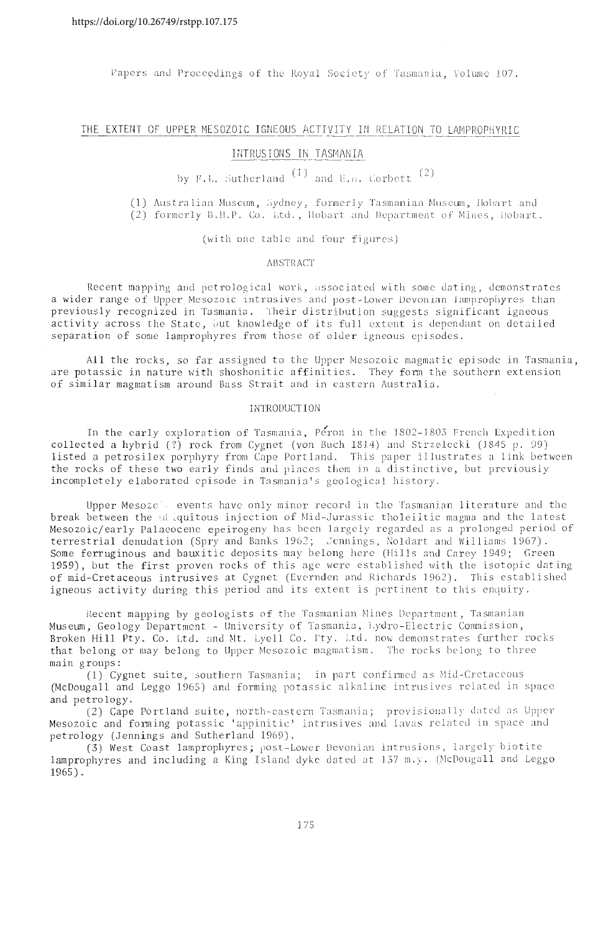Papers and Proceedings of the Royal Society of Tasmania, Volume 107.

# THE EXTENT OF UPPER MESOZOIC IGNEOUS ACTIVITY IN RELATION TO LAMPROPHYRIC

# INTRUSIONS IN TASMANIA

by F.L. Sutherland  $(1)$  and  $E.$   $\beta$ . Corbett  $(2)$ 

(1) Australian Museum, Sydney, formerly Tasmanian Museum, Hobart and (2) formerly B.H.P. Co. Ltd., Hobart and Department of Mines, Hobart.

(with one table and four figures)

## **ARSTRACT**

Recent mapping and petrological work, associated with some dating, demonstrates a wider range of Upper Mesozoic intrusives and post-Lower Devonian lamprophyres than previously recognized in Tasmania. Their distribution suggests significant igneous activity across the State, but knowledge of its full extent is dependant on detailed separation of some lamprophyres from those of older igneous episodes.

All the rocks, so far assigned to the Upper Mesozoic magmatic episode in Tasmania. are potassic in nature with shoshonitic affinities. They form the southern extension of similar magmatism around Bass Strait and in eastern Australia.

#### INTRODUCTION

In the early exploration of Tasmania, Peron in the 1802-1803 French Expedition collected a hybrid (?) rock from Cygnet (yon Buch 1814) and Strzelecki (1845 p. 99) listed a petrosilex porphyry from Cape Portland. This paper illustrates a link between the rocks of these two early finds and places them in a distinctive, but previously incompletely elaborated episode in Tasmania's geological history.

Upper Mesozo's events have only minor record in the Tasmanian literature and the break between the ulliquitous injection of Mid-Jurassic tholeiitic magma and the latest Mesozoic/early Palaeocene epeirogeny has been largely regarded as a prolonged period of terrestrial denudation (Spry and Banks 1962; Jennings, Noldart and Williams 1967).<br>Some ferruginous and bauxitic deposits may belong here (Hills and Carey 1949; Green 1959), but the first proven rocks of this age were established with the isotopic dating of mid-Cretaceous intrusives at Cygnet (Evernden and Richards 1962). This established igneous activity during this period and its extent is pertinent to this enquiry.

Recent mapping by geologists of the Tasmanian Mines Department, Tasmanian Museum, Geology Department - University of Tasmania, Lydro-Electric Commission, Broken Hill Pty. Co. Ltd. and Mt. Lyell Co. Pty. Ltd. now demonstrates further rocks that belong or may belong to Upper Mesozoic magmatism. The rocks belong to three main groups:

(1) Cygnet suite, southern Tasmania; in part confirmed as Mid-Cretaceous (McDougall and Leggo 1965) and forming potassic alkaline intrusives related in space and petrology.

(2) Cape Portland suite, north-eastern Tasmania; provisionally dated as Upper Mesozoic and forming potassic 'appinitic' intrusives and lavas related in space and petrology (Jennings and Sutherland 1969).

(3) West Coast lamprophyres; post-Lower Devonian intrusions, largely biotite lamprophyres and including a King Island dyke dated at 137 m.y. (McDougall and Leggo  $1965$ .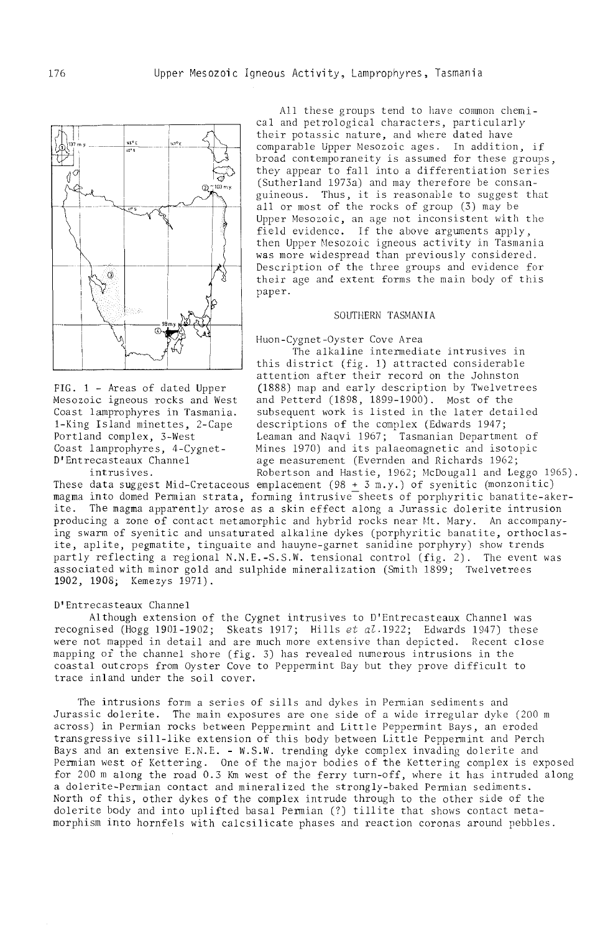

All these groups tend to have common chemical and petrological characters, particularly their potassic nature, and where dated have comparable Upper Mesozoic ages. In addition, if broad contemporaneity is asswned for these groups, they appear to fall into a differentiation series (Sutherland 1973a) and may therefore be consanguineous. Thus, it is reasonable to suggest that all or most of the rocks of group (3) may be Upper Mesozoic, an age not inconsistent with the field evidence. If the above arguments apply, then Upper Mesozoic igneous activity in Tasmania was more widespread than previously considered. Description of the three groups and evidence for their age and extent forms the main body of this paper.

#### SOUTHERN TASMANIA

Huon-Cygnet-Oyster Cove Area

The alkaline intermediate intrusives in this district (fig. 1) attracted considerable attention after their record on the Johnston FIG. 1 - Areas of dated Upper (1888) map and early description by Twelvetrees Mesozoic igneous rocks and West and Petterd (1898, 1899-1900). Most of the Mesozoic igneous rocks and West and Petterd (1898, 1899-1900). Most of the Coast lamprophyres in Tasmania. subsequent work is listed in the later detailed<br>1-King Island minettes, 2-Cape descriptions of the complex (Edwards 1947; I-King Island minettes, 2-Cape descriptions of the complex (Edwards 1947; Portland complex, 3-West Leaman and Naqvi 1967; Tasmanian Department of Coast lamprophyres, 4-Cygnet- Mines 1970) and its palaeomagnetic and isotopic Coast lamprophyres, 4-Cygnet- Mines 1970) and its palaeomagnetic and isotopic<br>D'Entrecasteaux Channel age measurement (Evernden and Richards 1962; age measurement (Evernden and Richards 1962; intrusives. Robertson and Hastie, 1962; McDougall and Leggo 1965).

These data suggest Mid-Cretaceous emplacement (98 + 3 m.y.) of syenitic (monzonitic) magma into domed Permian strata, forming intrusive sheets of porphyritic banatite-akerite. The magma apparently arose as a skin effect along a Jurassic dolerite intrusion producing a zone of contact metamorphic and hybrid rocks near Mt. Mary. An accompanying swarm of syenitic and unsaturated alkaline dykes (porphyritic banatite, orthoclasite, aplite, pegmatite, tinguaite and hauyne-garnet sanidine porphyry) show trends partly reflecting a regional N.N.E.-S.S.W. tensional control (fig. 2). The event was associated with minor gold and sulphide mineralization (Smith 1899; Twelvetrees 1902, 1908; Kemezys 1971).

#### D'Entrecasteaux Channel

Although extension of the Cygnet intrusives to D'Entrecasteaux Channel was recognised (Hogg 1901-1902; Skeats 1917; Hills et  $a^2.1922$ ; Edwards 1947) these *were* not mapped in detail and are much more extensive than depicted. Recent close mapping or the channel shore (fig. 3) has revealed numerous intrusions in the coastal. outcrops from Oyster Cove to Peppermint Bay but they prove difficult to trace inland under the soil cover.

The intrusions form a series of sills and dykes in Permian sediments and Jurassic dolerite. The main exposures are one side of a wide irregular dyke (200 m across) in Permian rocks between Peppermint and Little Peppermint Bays, an eroded transgressive sill-like extension of this body between Little Peppennint and Perch Bays and an extensive E.N.E. - W.S.W. trending dyke complex invading dolerite and Permian west of Kettering. One of the major bodies of the Kettering complex is exposed for 200 m along the road 0.3 Km west of the ferry turn-off, where it has intruded along a dolerite-Pennian contact and mineralized the strongly-baked Permian sediments. North of this, other dykes of the complex intrude through to the other side of the dolerite body and into uplifted basal Permian (7) tillite that shows contact metamorphism into hornfels with calcsilicate phases ami reaction coronas around pebbles.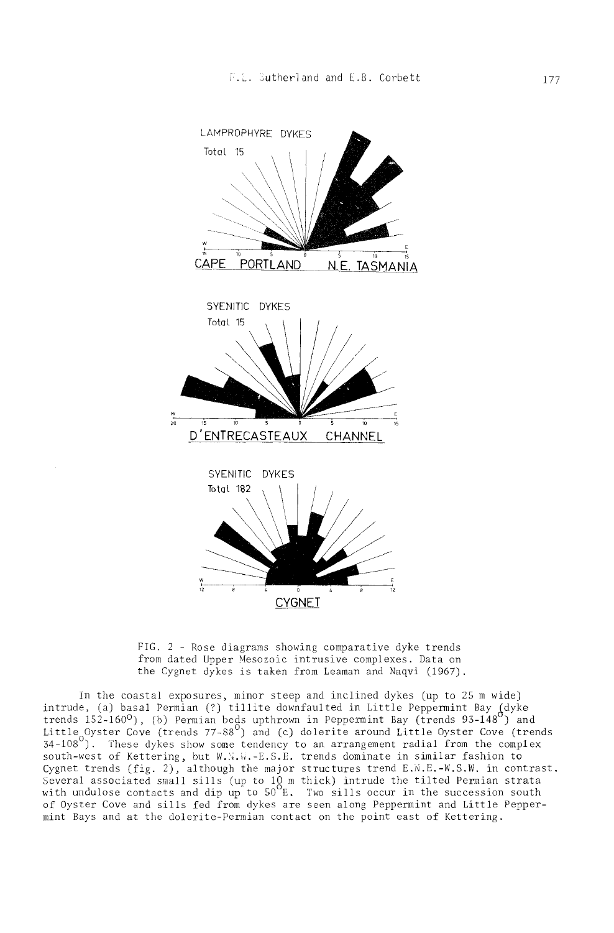

FIG. 2 - Rose diagrams showing comparative dyke trends from dated Upper Mesozoic intrusive complexes. Data on the Cygnet dykes is taken from Leaman and Naqvi (1967).

In the coastal exposures, minor steep and inclined dykes (up to 25 m wide) intrude, (a) basal Permian (?) tillite downfaulted in Little Peppennint Bay Jdyke trends  $152-160^{\circ}$ , (b) Permian beds upthrown in Peppermint Bay (trends 93-148 $^{\circ}$ ) and Little Oyster Cove (trends 77-88 $^{\circ}$ ) and (c) dolerite around Little Oyster Cove (trends 34-108<sup>0</sup>). These dykes show some tendency to an arrangement radial from the complex south-west of Kettering, but W.N.W.-E.S.E. trends dominate in similar fashion to Cygnet trends  $(fig. 2)$ , although the major structures trend E.N.E.-W.S.W. in contrast. Several associated small sills (up to  $10 \text{ m}$  thick) intrude the tilted Permian strata with undulose contacts and dip up to  $50^{\circ}$  E. Two sills occur in the succession south of Oyster Cove and sills fed from dykes are seen along Peppermint and Little Peppermint Bays and at the dolerite-Permian contact on the point east of Kettering.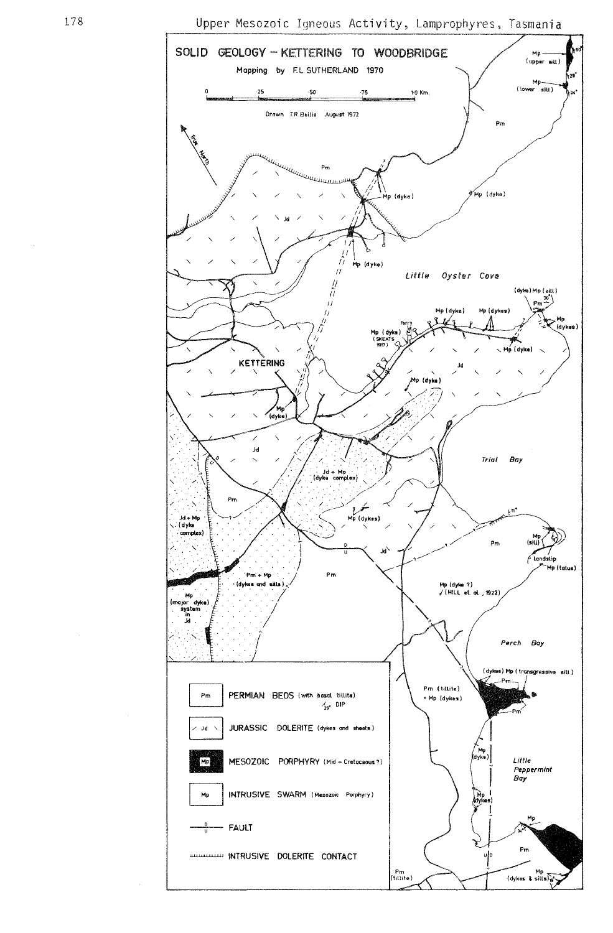Upper Mesozoic Igneous Activity, Lamprophyres, Tasmania

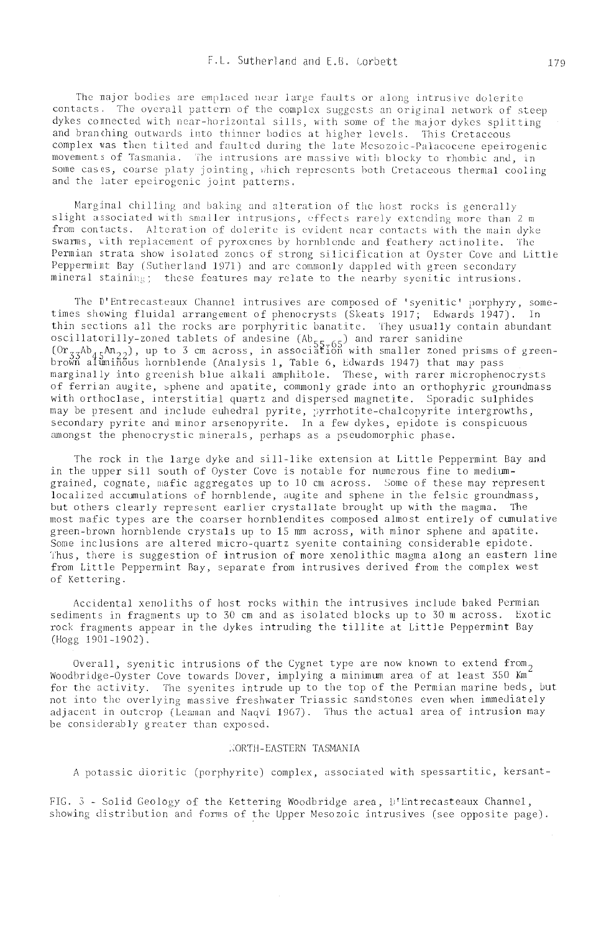The major bodies are emplaced near large faults or along intrusive dolerite contacts. The overall pattern of the complex suggests an original network of steep dykes connected with near-horizontal sills, with some of the major dykes splitting and branching outwards into thinner bodies at higher levels. This Cretaceous complex was then tilted and faulted during the late Mesozoic-Palaeocene epeirogenic movements of Tasmania. The intrusions are massive with blocky to rhombic and, in some cases, coarse platy jointing, which represents both Cretaceous thermal cooling and the later epeirogenic joint patterns.

Marginal chilling and baking and alteration of the host rocks is generally slight associated with smaller intrusions, effects rarely extending more than 2 m from contacts. Alteration of dolerite is evident near contacts with the main dyke swarms, with replacement of pyroxenes by hornblende and feathery actinolite. The Permian strata show isolated zones of strong silicification at Oyster Cove and Little Peppermint Bay (Sutherland 1971) and are commonly dappled with green secondary mineral staining; these features may relate to the nearby syenitic intrusions.

The D'Entrecasteaux Channel intrusives are composed of 'syenitic' porphyry, sometimes showing fluidal arrangement of phenocrysts (Skeats 1917; Edwards 1947). In thin sections all the rocks are porphyritic banatite. They usually contain abundant oscillatorilly-zoned tablets of andesine  $(Ab_{55-65})$  and rarer sanidine<br>(Or<sub>33</sub>Ab<sub>45</sub>An<sub>22</sub>), up to 3 cm across, in association with smaller zoned prisms of greenbrown aluminous hornblende (Analysis 1, Table 6, Edwards 1947) that may pass marginally into greenish blue alkali amphitole. These, with rarer microphenocrysts of ferrian augite, sphene and apatite, commonly grade into an orthophyric groundmass with orthoclase, interstitial quartz and dispersed magnetite. Sporadic sulphides may be present and include euhedral pyrite, pyrrhotite-chalcopyrite intergrowths, secondary pyrite and minor arsenopyrite. In a few dykes, epidote is conspicuous amongst the phenocrystic minerals, perhaps as a pseudomorphic phase.

The rock in the large dyke and sill-like extension at Little Peppermint Bay and in the upper sill south of Oyster Cove is notable for numerous fine to mediumgrained, cognate, mafic aggregates up to 10 cm across. Some of these may represent localized accumulations of hornblende, augite and sphene in the felsic groundmass, but others clearly represent earlier crystallate brought up with the magma. The most mafic types are the coarser hornblendites composed almost entirely of cumulative green-brown hornblende crystals up to 15 mm across, with minor sphene and apatite. Some inclusions are altered micro-quartz syenite containing considerable epidote. Thus, there is suggestion of intrusion of more xenolithic magma along an eastern line from Little Peppermint Bay, separate from intrusives derived from the complex west of Kettering.

Accidental xenoliths of host rocks within the intrusives include baked Permian sediments in fragments up to 30 cm and as isolated blocks up to 30 m across. Exotic rock fragments appear in the dykes intruding the tillite at Little Peppermint Bay (Hogg 1901-1902).

Overall, syenitic intrusions of the Cygnet type are now known to extend from, Woodbridge-Oyster Cove towards Dover, implying a minimum area of at least 350 Km for the activity. The syenites intrude up to the top of the Permian marine beds, but not into the overlying massive freshwater Triassic sandstones even when immediately adjacent in outcrop (Leaman and Nagvi 1967). Thus the actual area of intrusion may be considerably greater than exposed.

## NORTH-EASTERN TASMANIA

A potassic dioritic (porphyrite) complex, associated with spessartitic, kersant-

FIG. 3 - Solid Geology of the Kettering Woodbridge area, D'Entrecasteaux Channel, showing distribution and forms of the Upper Mesozoic intrusives (see opposite page).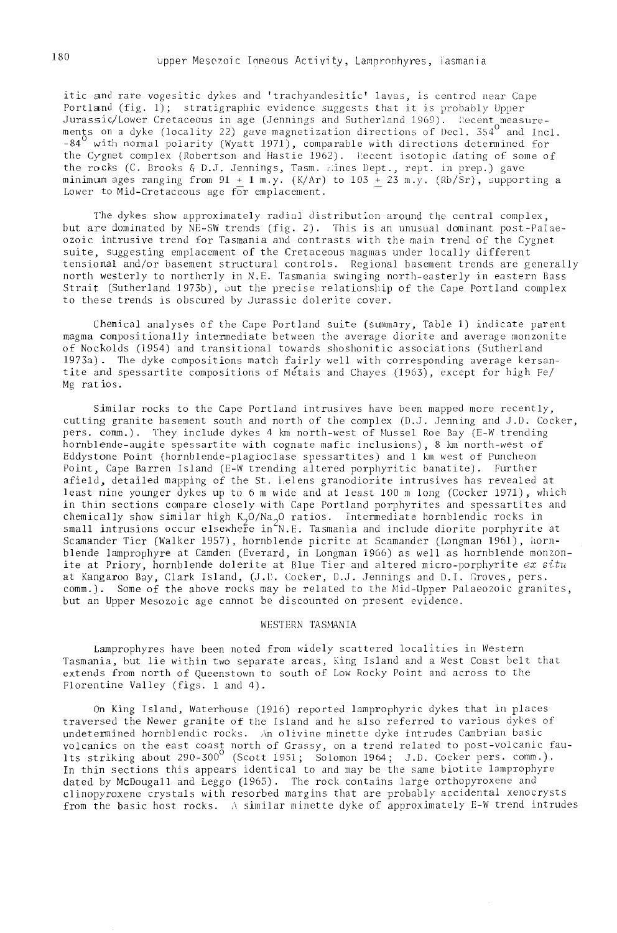itic and rare vogesitic dykes and 'trachyandesitic' lavas, is centred near Cape Portland (fig. 1); stratigraphic evidence suggests that it is probably Upper Jurassic/Lower Cretaceous in age (Jennings ments on a dyke (locality 22) gave magnetization directions of Decl. 354 $^{\rm o}$  and  $-84^\circ$  with normal polarity (Wyatt 1971), comparable with directions determined for the Cygnet complex (Robertson and Hastie 1962). l:ecent isotopic dating of some of the rocks (C. Brooks & D.J. Jennings, Tasm. lines Dept., rept. in prep.) gave minimum ages ranging from  $91 + 1$  m.y. (K/Ar) to  $103 + 23$  m.y. (Rb/Sr), supporting a Lower to Mid-Cretaceous age for emplacement.

The dykes show approximately radial distribution around the central complex, but are dominated by NE-SW trends (fig. 2). This is an unusual dominant post-Palaeozoic intrusive trend for Tasmania and contrasts with the main trend of the Cygnet suite, suggesting emplacement of the Cretaceous magmas under locally different tensional and/or basement structural controls. Regional basement trends are generally north westerly to northerly in N. E. Tasmania swinging north-easterly in eastern Bass Strait (Sutherland 1973b), but the precise relationship of the Cape Portland complex to these trends is obscured by Jurassic dolerite cover.

Chemical analyses of the Cape Portland suite (summary, Table 1) indicate parent magma compositionally intermediate between the average diorite and average monzonite of Nockolds (1954) and transitional towards shoshonitic associations (Sutherl and 1973a). The dyke compositions match fairly well with corresponding average kersantite and spessartite compositions of Metais and Chayes (1963), except for high Fe/ Mg ratios.

Similar rocks to the Cape Portland intrusives have been mapped more recently, cutting granite basement south and north of the complex (D.J. Jenning and J.D. Cocker, pers. comm.). They include dykes 4 km north-west of Mussel Roe Bay (E-W trending hornblende-augite spessartite with cognate mafic inclusions), 8 km north-west of Eddystone Point (hornblende-plagioclase spessartites) and 1 km west of Puncheon Point, Cape Barren Island (E-W trending altered porphyritic banatite). Further afield, detailed mapping of the St. I.elens granodiorite intrusives has revealed at least nine younger dykes up to 6 m wide and at least 100 m long (Cocker 1971), which in thin sections compare closely with Cape Portland porphyrites and spessartites and chemically show similar high K<sub>2</sub>0/Na<sub>2</sub>O ratios. Intermediate hornblendic rocks in<br>small intrusions occur elsewhere in N.E. Tasmania and include diorite porphyrite at Scamander Tier (Walker 1957), hornblende picrite at Scamander (Longman 1961), hornblende lamprophyre at Camden (Everard, in Longman 1966) as well as hornblende monzon-ite at Priory, hornblende dolerite at Blue Tier and altered micro-porphyrite *ex situ*  at Kangaroo Bay, Clark Island, (J.D. Cocker, D.J. Jennings and D.I. Groves, pers. comm.). Some of the above rocks may be related to the Mid-Upper Palaeozoic granites, but an Upper Mesozoic age cannot be discounted on present evidence.

## WESTERN TASMANIA

Lamprophyres have been noted from widely scattered localities in Western Tasmania, but lie within two separate areas, King Island and a West Coast belt that extends from north of Queenstown to south of Low Rocky Point and across to the Florentine Valley (figs. 1 and 4).

On King Island, Waterhouse (1916) reported lamprophyric dykes that in places traversed the Newer granite of the Island and he also referred to various dykes of undetermined hornblendic rocks. An olivine minette dyke intrudes Cambrian basic volcanics on the east coast north of Grassy, on a trend related to post-volcanic fau-<br>lts striking about 290-300<sup>0</sup> (Scott 1951; Solomon 1964; J.D. Cocker pers. comm.). In thin sections this appears identical to and may be the same biotite lamprophyre dated by McDougall and Leggo (1965). The rock contains large orthopyroxene and clinopyroxene crystals with resorbed margins that are probably accidental xenocrysts from the basic host rocks.  $\wedge$  similar minette dyke of approximately E-W trend intrudes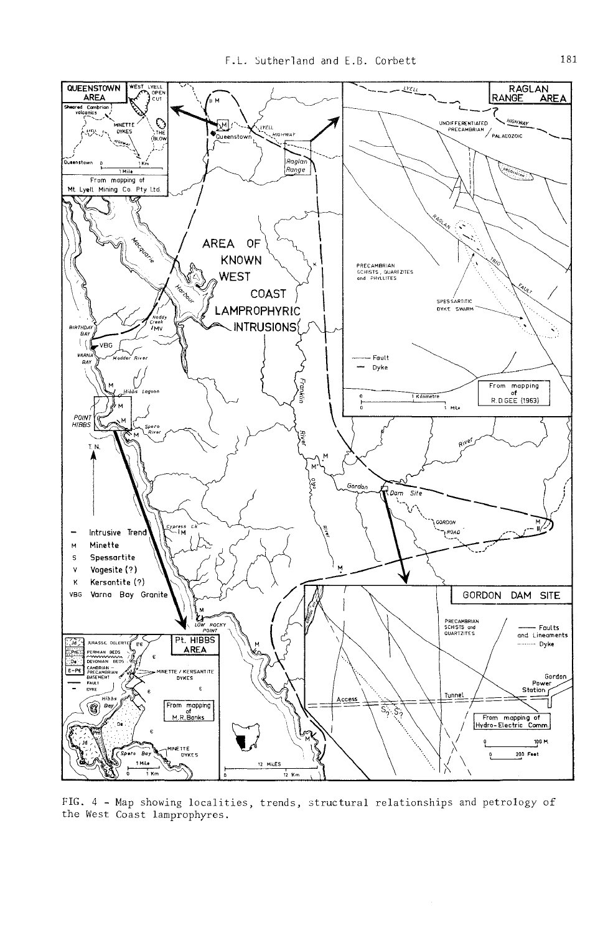

FIG. 4 - Map showing localities, trends, structural relationships and petrology of the West Coast lamprophyres.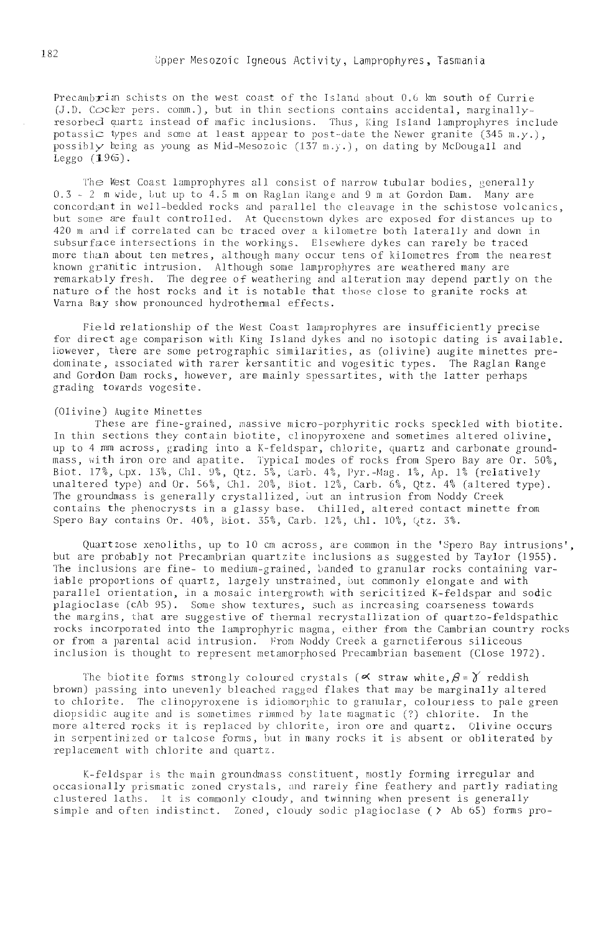Precambrian schists on the west coast of the Island about 0.6 km south of Currie (J.D. Cocker pers. comm.), but in thin sections contains accidental, marginallyresorbed quartz instead of mafic inclusions. Thus, King Island lamprophyres include potassic types and some at least appear to post-date the Newer granite  $(345 \text{ m} \cdot y.),$ possibly being as young as Mid-Mesozoic  $(137 \text{ m}, y, )$ , on dating by McDougall and  $Legeo$  (1965).

The West Coast lamprophyres all consist of narrow tubular bodies, generally 0.3 - 2 m wide, but up to 4.5 m on Raglan Range and 9 m at Gordon Dam. Many are concordant in well-bedded rocks and parallel the cleavage in the schistose volcanics, but some are fault controlled. At Queenstown dykes are exposed for distances up to<br>420 m and if correlated can be traced over a kilometre both laterally and down in subsurface intersections in the workings. Elsewhere dykes can rarely be traced more than about ten metres, although many occur tens of kilometres from the nearest known granitic intrusion. Although some lamprophyres are weathered many are remarkably fresh. The degree of weathering and alteration may depend partly on the nature of the host rocks and it is notable that those close to granite rocks at Varna Bay show pronounced hydrothermal effects.

Field relationship of the West Coast lamprophyres are insufficiently precise for direct age comparison with King Island dykes and no isotopic dating is available. However, there are some petrographic similarities, as (olivine) augite minettes predominate, associated with rarer kersantitic and vogesitic types. The Raglan Range and Gordon Dam rocks, however, are mainly spessartites, with the latter perhaps grading towards vogesite.

#### (Olivine) Augite Minettes

These are fine-grained, massive micro-porphyritic rocks speckled with biotite. In thin sections they contain biotite, clinopyroxene and sometimes altered olivine, up to 4.mm across, grading into a K-feldspar, chlorite, quartz and carbonate groundmass, with iron ore and apatite. Typical modes of rocks from Spero Bay are Or. 50%, Biot. 17%, Cpx. 13%, ChI. 9%, Qtz. 5%, Carbo 4%, Pyr.-Mag. 1%, Ap. 1% (relatively unaltered type) and Or. 56%, Chl. 20%, Biot. 12%, Carb. 6%, Qtz. 4% (altered type). The groundmass is generally crystallized, but an intrusion from Noddy Creek contains. the phenocrysts in a glassy base. Chilled, altered contact minette from Spero Bay contains Or. 40%, Biot. 35%, Carb. 12%, Chl. 10%, Qtz. 3%.

Quart zose xenoliths, up to 10 cm across, are common in the 'Spero Bay intrusions', but are probably not Precambrian quartzite inclusions as suggested by Taylor (1955). The inclusions are fine- to medium-grained, banded to granular rocks containing variable proportions of quartz, largely unstrained, but commonly elongate and with parallel orientation, in a mosaic intergrowth with sericitized K-feldspar and sodic plagioclase (cAb 95). Some show textures, such as increasing coarseness towards the margins, that are suggestive of thermal recrystallization of quartzo-feldspathic rocks incorporated into the lamprophyric magma, either from the Cambrian country rocks or from a parental acid intrusion. From Noddy Creek a garnetiferous siliceous inclusion is thought to represent metamorphosed Precambrian basement (Close 1972).

The biotite forms strongly coloured crystals  $(\alpha \text{ straw white}, \beta = \gamma \text{ reddish})$ brown) passing into unevenly bleached ragged flakes that may be marginally altered to chlorite. The clinopyroxene is idiomorphic to granular, colourless to pale green diopsidic augite and is sometimes rimmed by late magmatic (?) chlorite. In the more altered rocks it is replaced by chlorite, iron ore and quartz. Olivine occurs in serpentinized or talcose forms, but in many rocks it is absent or obliterated by replacement with chlorite and quartz.

K-feldspar is the main groundmass constituent, mostly forming irregular and occasionally prismatic zoned crystals, and rarely fine feathery and partly radiating clustered laths. It is commonly cloudy, and twinning when present is generally simple and often indistinct. Zoned, cloudy sodic plagioclase (> Ab 65) forms pro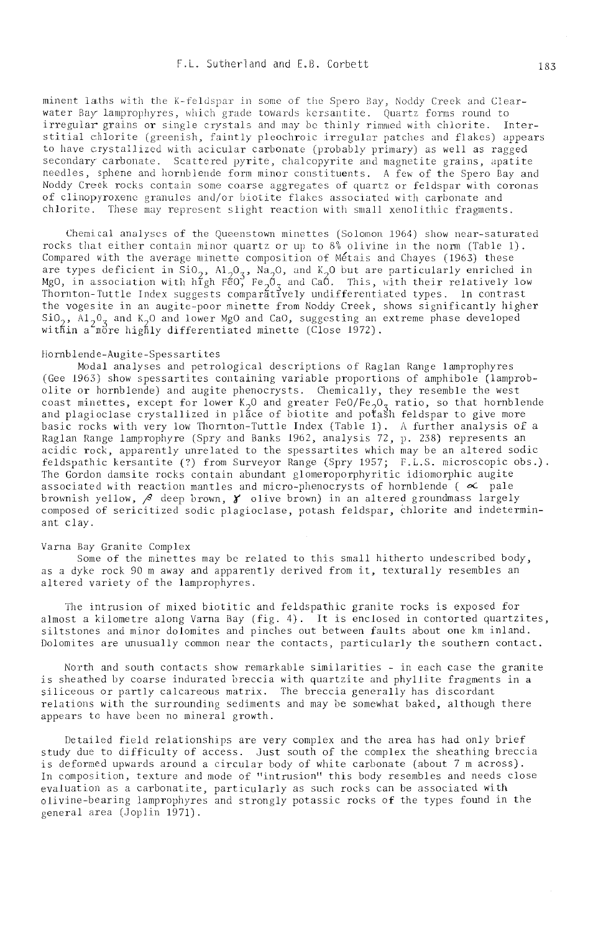minent laths with the K-feldspar in some of the Spero Bay, Noddy Creek and Clearwater Bay lamprophyres, which grade towards kersantite. Quartz forms round to irregular grains or single crystals and may be thinly rimmed with chlorite. Interstitial chlorite (greenish, faintly pleochroic irregular patches and flakes) appears to have crystallized with acicular carbonate (probably primary) as well as ragged secondary carbonate. Scattered pyrite, chalcopyrite and magnetite grains, apatite needles, sphene and hornblende form minor constituents. A few of the Spero Bay and Noddy Creek rocks contain some coarse aggregates of quartz or feldspar with coronas of clinopyroxene granules and/or biotite flakes associated with carbonate and chlorite. These may represent slight reaction with small xenolithic fragments.

Chemical analyses of the Queenstown minettes (Solomon 1964) show near-saturated rocks that either contain minor quartz or up to 8% olivine in the norm (Table 1). Compared with the average minette composition of Métais and Chayes (1963) these are types deficient in SiO<sub>2</sub>,  $\overline{M}_2O_7$ ,  $\overline{M}_2O_8$ , and  $K$ <sub>0</sub> but are particularly enriched in MgO, in association with high FeO<sub>3</sub> Fe<sub>2</sub>O<sub>3</sub> and CaO. This, with their relatively low Thornton-Tuttle Index suggests the vogesite in an augite-poor minette from Noddy Creek, shows significantly higher  $\sin 2\theta_2$ ,  $\sin 2\theta_3$  and  $\sin 2\theta_2$  and  $\sin 2\theta_1$  and  $\sin 2\theta_2$  and  $\sin 2\theta_3$  and  $\sin 2\theta_1$  and  $\sin 2\theta_2$  and  $\sin 2\theta_3$  and  $\sin 2\theta_1$  and  $\sin 2\theta_2$  and  $\sin 2\theta_3$  and  $\sin 2\theta_1$  and  $\sin 2\theta_2$  and  $\sin 2\theta_3$  and within a more highly differentiated minette (Close 1972).

#### Hornblende-Augite-Spessartites

Modal analyses and petrological descriptions of Raglan Range lamprophyres (Gee 1963) show spessartites containing variable proportions of amphibole (lamprobolite or hornblende) and augite phenocrysts. Chemically, they resemble the west coast minettes, except for lower  $K_2$ O and greater FeO/Fe, O<sub>3</sub> ratio, so that hornblende and plagioclase crystallized in place of biotite and potash feldspar to give more basic rocks with very low Thornton-Tuttle Index (Table 1). A further analysis of a Raglan Range lamprophyre (Spry and Banks 1962, analysis 72, p. 238) represents an acidic rock, apparently unrelated to the spessartites which may be an altered sodic feldspathic kersantite (?) from Surveyor Range (Spry 1957; F.L.S. microscopic obs.). The Gordon damsite rocks contain abundant glomeroporphyritic idiomorphic augite associated with reaction mantles and micro-phenocrysts of hornblende ( $\infty$  pale brownish yellow,  $\beta$  deep brown,  $\gamma$  olive brown) in an altered groundmass largely composed of sericitized sodic plagioclase, potash feldspar, chlorite and indeterminant clav.

### Varna Bay Granite Complex

Some of the minettes may be related to this small hitherto undescribed body, as a dyke rock 90 m away and apparently derived from it, texturally resembles an altered variety of the lamprophyres.

The intrusion of mixed biotitic and feldspathic granite rocks is exposed for almost a kilometre along Varna Bay (fig. 4). It is enclosed in contorted quartzites, siltstones and minor dolomites and pinches out between faults about one km inland. Dolomites are unusually common near the contacts, particularly the southern contact.

North and south contacts show remarkable similarities - in each case the granite is sheathed by coarse indurated breccia with quartzite and phyllite fragments in a siliceous or partly calcareous matrix. The breccia generally has discordant relations with the surrounding sediments and may be somewhat baked, although there appears to have been no mineral growth.

Detailed field relationships are very complex and the area has had only brief study due to difficulty of access. Just south of the complex the sheathing breccia is deformed upwards around a circular body of white carbonate (about 7 m across). In composition, texture and mode of "intrusion" this body resembles and needs close evaluation as a carbonatite, particularly as such rocks can be associated with olivine-bearing lamprophyres and strongly potassic rocks of the types found in the peneral area (Joplin 1971).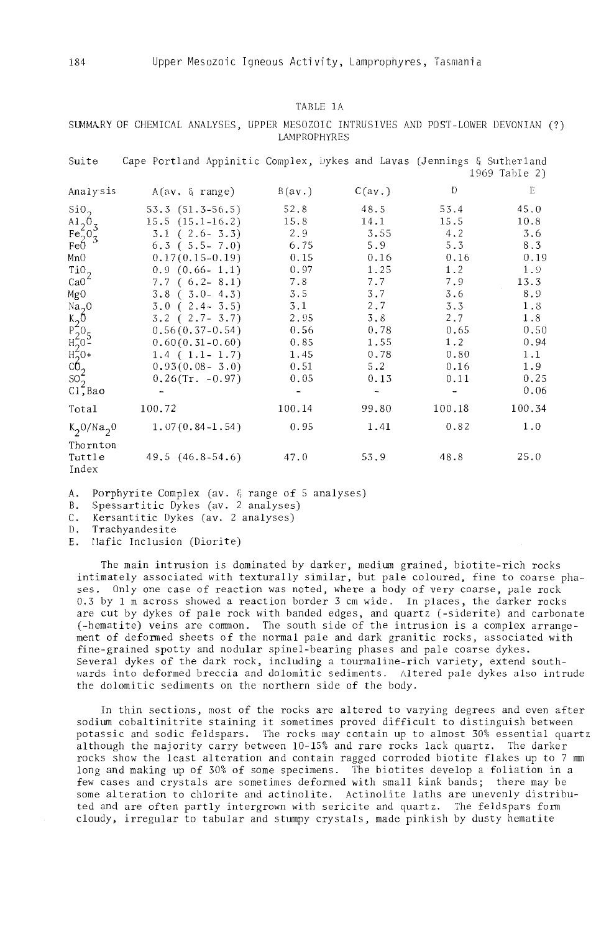### TABLE 1A

## SUMMARY OF CHEMICAL ANALYSES, UPPER MESOZOIC INTRUSIVES AND POST-LOWER DEVONIAN (?) LAMPROPHYRES

| Suite                                                                                                          | Cape Portland Appinitic Complex, Dykes and Lavas (Jennings & Sutherland |              |              |              | 1969 Table 2) |
|----------------------------------------------------------------------------------------------------------------|-------------------------------------------------------------------------|--------------|--------------|--------------|---------------|
| Analysis                                                                                                       | A(av. & range)                                                          | B(av.)       | C(av.)       | $\mathbb{D}$ | E             |
| SiO <sub>2</sub>                                                                                               | $53.3(51.3-56.5)$<br>$15.5(15.1-16.2)$                                  | 52.8<br>15.8 | 48.5<br>14.1 | 53.4<br>15.5 | 45.0<br>10.8  |
| $\begin{array}{l}\n\mathbf{A1}_2 \mathbf{0}_3\\ \n\mathbf{Fe}_2^2 \mathbf{0}_3\\ \n\mathbf{FeO} \n\end{array}$ | $3.1$ ( $2.6 - 3.3$ )                                                   | 2.9          | 3.55         | 4.2          | 3.6           |
| MnO                                                                                                            | $6.3$ ( $5.5 - 7.0$ )<br>$0.17(0.15-0.19)$                              | 6.75<br>0.15 | 5.9<br>0.16  | 5.3<br>0.16  | 8.3<br>0.19   |
| TiO <sub>2</sub><br>CaO <sup>2</sup>                                                                           | $0.9$ $(0.66 - 1.1)$<br>$7.7(6.2-8.1)$                                  | 0.97<br>7.8  | 1.25<br>7.7  | 1.2<br>7.9   | 1.9<br>13.3   |
| MgO                                                                                                            | $3.8$ ( $3.0-4.3$ )<br>$3.0$ ( $2.4 - 3.5$ )                            | 3.5<br>3.1   | 3.7<br>2.7   | 3.6<br>3.3   | 8.9<br>1.8    |
| Na <sub>2</sub> O                                                                                              | $3.2$ ( $2.7 - 3.7$ )                                                   | 2.95         | 3.8          | 2.7          | 1.8           |
|                                                                                                                | $0.56(0.37-0.54)$<br>$0.60(0.31-0.60)$                                  | 0.56<br>0.85 | 0.78<br>1.55 | 0.65<br>1.2  | 0.50<br>0.94  |
| $K_2^0$<br>$R_2^0$<br>$R_2^0$<br>$R_2^0$<br>$R_2^0$<br>$S_2^0$                                                 | $1.4$ ( $1.1 - 1.7$ )<br>$0.93(0.08 - 3.0)$                             | 1.45<br>0.51 | 0.78<br>5.2  | 0.80<br>0.16 | 1.1<br>1.9    |
| $Cl$ , Bao                                                                                                     | $0.26$ (Tr. -0.97)                                                      | 0.05         | 0.13<br>-    | 0.11         | 0.25<br>0.06  |
| Total                                                                                                          | 100.72                                                                  | 100.14       | 99.80        | 100.18       | 100.34        |
| $K_2O/Na_20$                                                                                                   | $1.07(0.84 - 1.54)$                                                     | 0.95         | 1.41         | 0.82         | 1.0           |
| Thornton<br>Tuttle<br>Index                                                                                    | $49.5(46.8-54.6)$                                                       | 47.0         | 53.9         | 48.8         | 25.0          |

A. Porphyrite Complex (av. & range of 5 analyses)

B. Spessartitic Dykes (av. 2 analyses)

C. Kersantitic Dykes (av. 2 analyses)<br>D. Trachvandesite

D. Trachyandesite<br>E. Mafic Inclusion

Mafic Inclusion (Diorite)

The main intrusion is dominated by darker, medium grained, biotite-rich rocks intimately associated with texturally similar, but pale coloured, fine to coarse phases. Only one case of reaction was noted, where a body of very coarse, pale rock 0.3 by 1 m across showed a reaction border 3 cm wide. In places, the darker rocks are cut by dykes of pale rock with banded edges, and quartz (-siderite) and carbonate (-hematite) veins are common. The south side of the intrusion is a complex arrangement of deformed sheets of the normal pale and dark granitic rocks, associated with fine-grained spotty and nodular spinel-bearing phases and pale coarse dykes. Several dykes of the dark rock, including a tourmaline-rich variety, extend southwards into deformed breccia and dolomitic sediments. Altered pale dykes also intrude the dolomitic sediments on the northern side of the body.

In thin sections, most of the rocks are altered to varying degrees and even after sodium cobaltinitrite staining it sometimes proved difficult to distinguish between potassic and sodie feldspars. The rocks may contain up to almost 30% essential quartz although the majority carry between  $10-15%$  and rare rocks lack quartz. The darker rocks show the least alteration and contain ragged corroded biotite flakes up to 7 mm long and making up of 30% of some specimens. The biotites develop a foliation in a few cases and crystals are sometimes deformed with small kink bands; there may be some alteration to chlorite and actinolite. Actinolite laths are unevenly distributed and are often partly intergrown with sericite and quart z. The feldspars form cloudy, irregular to tabular and stumpy crystals, made pinkish by dusty hematite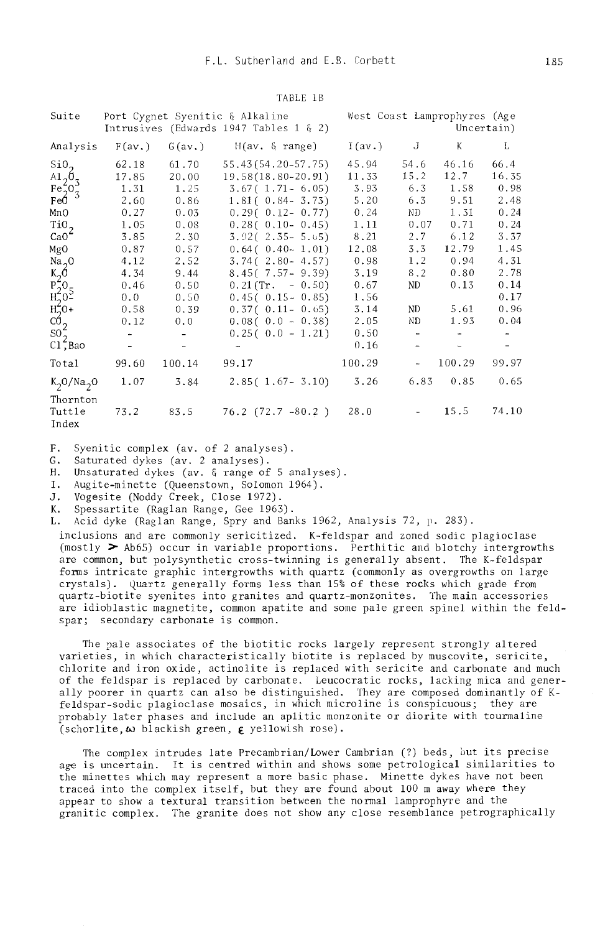| Suite                                    | Port Cygnet Syenitic & Alkaline<br>Intrusives (Edwards 1947 Tables 1 $\xi$ 2) |                          |                               | West Coast Lamprophyres (Age<br>Uncertain) |        |           |       |
|------------------------------------------|-------------------------------------------------------------------------------|--------------------------|-------------------------------|--------------------------------------------|--------|-----------|-------|
| Analysis                                 | F(av.)                                                                        |                          | $G(av.)$ $H(av. \& range)$    | I(av.)                                     | J      | K         | L     |
| SiO <sub>2</sub>                         | 62.18                                                                         | 61.70                    | 55.43 (54.20-57.75)           | 45.94                                      | 54.6   | 46.16     | 66.4  |
| $A1_{2}0_{3}$                            | 17.85                                                                         | 20.00                    | 19,58(18.80-20.91)            | 11.33                                      | 15.2   | 12.7      | 16.35 |
| $Fe2o3Fe0$                               | 1.31                                                                          | 1.25                     | $3.67(1.71 - 6.05)$           | 3.93                                       | 6.3    | 1.58      | 0.98  |
|                                          | 2,60                                                                          | 0.86                     | $1.81(0.84 - 3.73)$           | 5.20                                       | 6.3    | 9.51      | 2.48  |
| MnO                                      | 0.27                                                                          | 0.03                     | $0.29(0.12 - 0.77)$           | 0.24                                       | ND.    | 1.31      | 0.24  |
| TiO <sub>2</sub>                         | 1.05                                                                          | 0.08                     | $0,28(0.10-0.45)$             | 1.11                                       | 0.07   | 0.71      | 0.24  |
| $CaO^2$                                  | 3.85                                                                          | 2.30                     | $3, 92(2, 35 - 5, 65)$        | 8.21                                       | 2.7    | 6.12      | 3.37  |
| MgO                                      | 0.87                                                                          | 0.57                     | $0.64(0.40-1.01)$             | 12.08                                      | 3.3    | 12.79     | 1.45  |
| Na <sub>2</sub> O                        | 4.12                                                                          | 2.52                     | $3.74(2.80 - 4.57)$           | 0.98                                       | 1.2    | 0.94      | 4.31  |
| $\frac{K_2 6}{F_2^2 0_5}$                | 4.34                                                                          | 9.44                     | $8.45(7.57 - 9.39)$           | 3.19                                       | 8.2    | 0.80      | 2.78  |
|                                          | 0.46                                                                          | 0.50                     | $0.21$ (Tr. $-0.50$ )         | 0.67                                       | ND     | 0.13      | 0.14  |
|                                          | 0.0                                                                           | 0.50                     | $0.45(0.15-0.85)$             | 1.56                                       |        |           | 0.17  |
| $rac{H_2^2O}{CO_2^2}$<br>so <sub>2</sub> | 0.58                                                                          | 0.39                     | $0.37(0.11 - 0.65)$           | 3.14                                       | ND     | 5.61      | 0.96  |
|                                          | 0.12                                                                          | 0.0                      | $0.08(0.0 - 0.38)$            | 2.05                                       | ND     | 1.93      | 0.04  |
|                                          |                                                                               | $\overline{\phantom{0}}$ | $0.25(0.0 - 1.21)$            | 0.50                                       | $\sim$ |           |       |
| C1, Bao                                  |                                                                               |                          |                               | 0.16                                       |        |           |       |
| Total                                    | 99.60                                                                         | 100.14                   | 99.17                         | 100.29                                     |        | $-100.29$ | 99.97 |
| $K_2O/Na_2O$                             | 1.07                                                                          | 3.84                     | $2,85($ 1.67 - 3.10)          | 3.26                                       | 6.83   | 0.85      | 0.65  |
| Thornton<br>Tuttle<br>Index              | 73.2                                                                          |                          | $83.5$ $76.2$ $(72.7 - 80.2)$ | 28.0                                       |        | 15.5      | 74.10 |

#### TABLE 1B

- F. Syenitic complex (av. of 2 analyses).<br>G. Saturated dykes (av. 2 analyses).
- 

H. Unsaturated dykes (av. & range of 5 analyses).

- I. Augite-minette (Queenstown, Solomon 1964).
- J. Vogesite (Noddy Creek, Close 1972).
- K. Spessartite (Raglan Range, Gee 1963).
- L. Acid dyke (Raglan Range, Spry and Banks 1962, Analysis 72, p. 283).

inclusions and are commonly sericitized. K-feldspar and zoned sodic plagioclase (mostly  $>$  Ab65) occur in variable proportions. Perthitic and blotchy intergrowths are common, but polysynthetic cross-twinning is generally absent. The K-feldspar forms intricate graphic intergrowths with quartz (commonly as overgrowths on large crystals). Quartz generally forms less than 15% of these rocks which grade from quartz-biotite syenites into granites and quartz-monzonites. The main accessories are idioblastic magnetite, common apatite and some pale green spinel within the feldspar; secondary carbonate is common.

The pale associates of the biotitic rocks largely represent strongly altered varieties, in which characteristically biotite is replaced by muscovite, sericite, chlorite and iron oxide, actinolite is replaced with sericite and carbonate and much of the feldspar is replaced by carbonate. Leucocratic rocks, lacking mica and generally poorer in quartz can also be distinguished. They are composed dominantly of Kfeldspar-sodic plagioclase mosaics, in which microline is conspicuous; they are probably later phases and include an aplitic monzonite or diorite with tourmaline  $(schorlike, \omega)$  blackish green,  $\epsilon$  yellowish rose).

The complex intrudes late Precambrian/Lower Cambrian (?) beds, but its precise age is uncertain. It is centred within and shows some petrological similarities to the minettes which may represent a more basic phase. Minette dykes have not been traced into the complex itself, but they are found about 100 m away where they appear to show a textural transition between the normal lamprophyre and the granitic complex. The granite does not show any close resemblance petrographically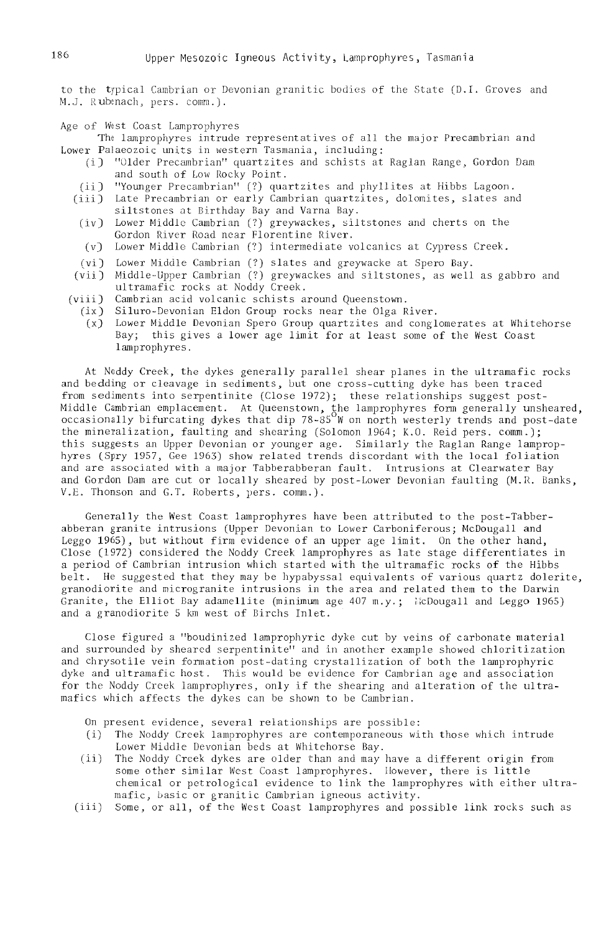to the typical Cambrian or Devonian granitic bodies of the State (D.I. Groves and M.J. Rubanach, pers. comm.).

Age of West Coast Lamprophyres

The lamprophyres intrude representatives of all the major Precambrian and Lower Palaeozoic units in western Tasmania, including:

- (i) "Older Precambrian" quartzites and schists at Raglan Range, Gordon Dam and south of Low Rocky Point.
- "Younger Precambrian" (?) quartzites and phyllites at Hibbs Lagoon.  $(ii)$
- (iii) Late Precambrian or early Cambrian quartzites, dolomites, slates and siltstones at Birthday Bay and Varna Bay.
- (iv) Lower Middle Cambrian (?) greywackes, siltstones and cherts on the Gordon River Road near Florentine River.
- (v) Lower Middle Cambrian (?) intermediate volcanics at Cypress Creek.
- (vi) Lower Middle Cambrian (?) slates and greywacke at Spero Bay.
- (vii) Middle-Upper Cambrian (?) greywackes and siltstones, as well as gabbro and ultramafic rocks at Noddy Creek.
- Cambrian acid volcanic schists around Oueenstown.  $(viii)$ 
	- $(ix)$ Siluro-Devonian Eldon Group rocks near the Olga River.
	- $(x)$ Lower Middle Devonian Spero Group quartzites and conglomerates at Whitehorse Bay; this gives a lower age limit for at least some of the West Coast lamprophyres.

At Noddy Creek, the dykes generally parallel shear planes in the ultramafic rocks and bedding or cleavage in sediments, but one cross-cutting dyke has been traced from sediments into serpentinite (Close 1972); these relationships suggest post-Middle Cambrian emplacement. At Queenstown, the lamprophyres form generally unsheared, occasionally bifurcating dykes that dip 78-85<sup>9</sup>W on north westerly trends and post-date the mineralization, faulting and shearing (Solomon 1964; K.O. Reid pers. comm.); this suggests an Upper Devonian or younger age. Similarly the Raglan Range lamprophyres (Spry 1957, Gee 1963) show related trends discordant with the local foliation and are associated with a major Tabberabberan fault. Intrusions at Clearwater Bay and Gordon Dam are cut or locally sheared by post-Lower Devonian faulting (M.R. Banks, V.E. Thomson and G.T. Roberts, pers. comm.).

Generally the West Coast lamprophyres have been attributed to the post-Tabberabberan granite intrusions (Upper Devonian to Lower Carboniferous; McDougall and Leggo 1965), but without firm evidence of an upper age limit. On the other hand,<br>Close (1972) considered the Noddy Creek lamprophyres as late stage differentiates in a period of Cambrian intrusion which started with the ultramafic rocks of the Hibbs belt. He suggested that they may be hypabyssal equivalents of various quartz dolerite, granodiorite and microgranite intrusions in the area and related them to the Darwin Granite, the Elliot Bay adamellite (minimum age  $407$  m.y.; McDougall and Leggo 1965) and a granodiorite 5 km west of Birchs Inlet.

Close figured a "boudinized lamprophyric dyke cut by yeins of carbonate material and surrounded by sheared serpentinite" and in another example showed chloritization and chrysotile vein formation post-dating crystallization of both the lamprophyric dyke and ultramafic host. This would be evidence for Cambrian age and association for the Noddy Creek lamprophyres, only if the shearing and alteration of the ultramafics which affects the dykes can be shown to be Cambrian.

On present evidence, several relationships are possible:

- The Noddy Creek lamprophyres are contemporaneous with those which intrude  $(i)$ Lower Middle Devonian beds at Whitehorse Bay.
- The Noddy Creek dykes are older than and may have a different origin from  $(i)$ some other similar West Coast lamprophyres. However, there is little chemical or petrological evidence to link the lamprophyres with either ultramafic, basic or granitic Cambrian igneous activity.
- Some, or all, of the West Coast lamprophyres and possible link rocks such as  $(iii)$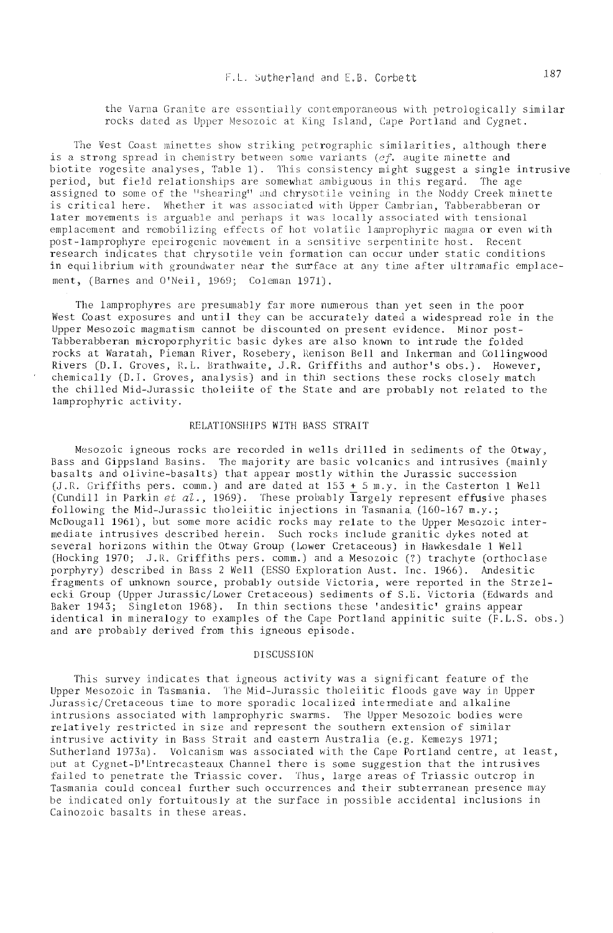the Varna Granite are essentially contemporaneous with petrologically similar rocks dated as Upper Mesozoic at King Island. Cape Portland and Cygnet.

The West Coast minettes show striking petrographic similarities, although there is a strong spread in chemistry between some variants ( $cf.$  augite minette and biotite vogesite analyses, Table 1). This consistency might suggest a single intrusive period, but field relationships are somewhat ambiguous in this regard. The age assigned to some of the "shearing" and chrysotile veining in the Noddy Creek minette<br>is critical here. Whether it was associated with Upper Cambrian, Tabberabberan or later movements is arguable and perhaps it was locally associated with tensional emplacement and remobilizing effects of hot volatile lamprophyric magma or even with post-lamprophyre epeirogenic movement in a sensitive serpentinite host. Recent research indicates that chrysotile vein formation can occur under static conditions in equilibrium with groundwater near the surface at any time after ultramafic emplacement, (Barnes and O'Neil, 1969; Coleman 1971).

The lamprophyres are presumably far more numerous than yet seen in the poor West Coast exposures and until they can be accurately dated a widespread role in the Upper Mesozoic magmatism cannot be discounted on present evidence. Minor post-Tabberabberan microporphyritic basic dykes are also known to intrude the folded rocks at Waratah, Pieman River, Rosebery, Renison Bell and Inkerman and Collingwood Rivers (D. I. Groves, R.L. Brathwaite, J.R. Griffiths and author's obs.). However, chemically (D.I. Groves, analysis) and in thin sections these rocks closely match the chilled Mid-Jurassic tholeiite of the State and are probably not related to the lamprophyric activity.

### RELATIONSHIPS WITH BASS STRAIT

Mesozoic igneous rocks are recorded in wells drilled in sediments of the Otway, Bass and Gippsland Basins. The majority are basic volcanics and intrusives (mainly basalts and olivine-basalts) that appear mostly within the Jurassic succession (J.R. Griffiths pers. comm.) and are dated at  $153 + 5$  m.y. in the Casterton 1 Well (Cundill in Parkin et al., 1969). These probably largely represent effusive phases following the Mid-Jurassic tholeiitic injections in Tasmania (160-167 m.y.; McDougall 1961), but some more acidic rocks may relate to the Upper Mesozoic intermediate intrusives described herein. Such rocks include granitic dykes noted at several horizons within the Otway Group (Lower Cretaceous) in Hawkesdale 1 Well (Hocking 1970; J.R. Griffiths pers. comm.) and a Mesozoic (?) trachyte (orthoclase porphyry) described in Bass 2 Well (ESSO Exploration Aust. Inc. 1966). Andesitic fragments of unknown source, probably outside Victoria, were reported in the Strzelecki Group (Upper Jurassic/Lower Cretaceous) sediments of S.E. Victoria (Edwards and Baker 1943; Singleton 1968). In thin sections these 'andesitic' grains appear identical in mineralogy to examples of the Cape Portland appinitic suite (F.L.S. obs.) and are probably derived from this igneous episode.

## **DISCUSSION**

This survey indicates that igneous activity was a significant feature of the Upper Mesozoic in Tasmania. The Mid-Jurassic tholeiitic floods gave way in Upper Jurassic/Cretaceous time to more sporadic localized intermediate and alkaline intrusions associated with lamprophyric swarms. The Upper Mesozoic bodies were<br>relatively restricted in size and represent the southern extension of similar intrusive activity in Bass Strait and eastern Australia (e.g. Kemezys 1971; Sutherland 1973a). Volcanism was associated with the Cape Portland centre, at least, but at Cygnet-D'Entrecasteaux Channel there is some suggestion that the intrusives failed to penetrate the Triassic cover. Thus, large areas of Triassic outcrop in Tasmania could conceal further such occurrences and their subterranean presence may be indicated only fortuitously at the surface in possible accidental inclusions in Cainozoic basalts in these areas.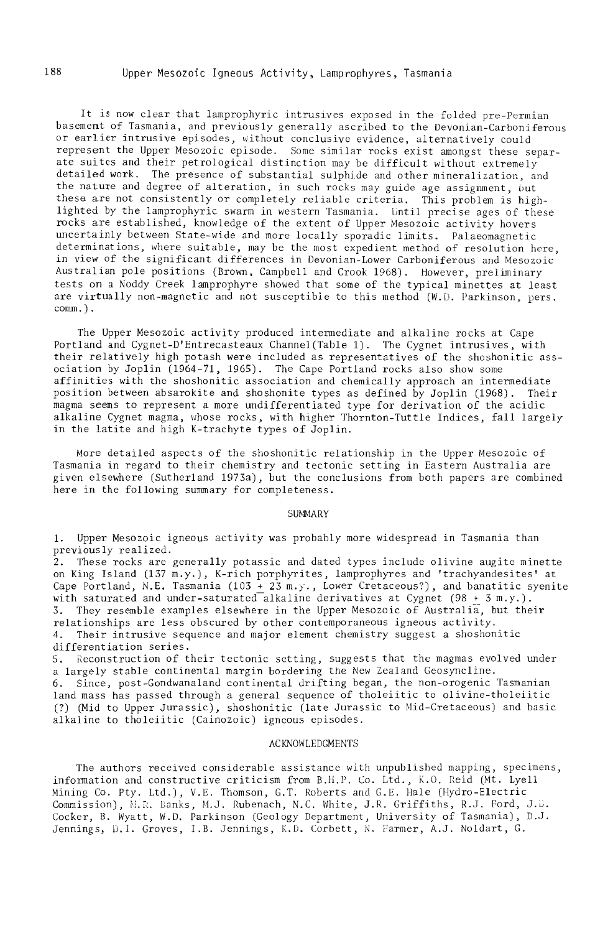It is now clear that lamprophyric intrusives exposed in the folded pre-Permian basement of Tasmania, and previously generally ascribed to the Devonian-Carboniferous or earlier intrusive episodes, without conclusive evidence, alternatively could represent the Upper Mesozoic episode. Some similar rocks exist amongst these separate suites and their petrological distinction may be difficult without extremely detailed work. The presence of substantial sulphide and other mineralization, and the nature and degree of alteration, in such rocks may guide age assignment, but these are not consistently or completely reliable criteria. This problem is highlighted by the lamprophyric swarm in western Tasmania. Until precise ages of these rocks are established, knowledge of the extent of Upper Mesozoic activity hovers uncertainly between State-wide and more locally sporadic limits. Palaeomagnetic determinations, where suitable, may be the most expedient method of resolution here, in view of the significant differences in Devonian-Lower Carboniferous and Mesozoic Australian pole positions (Brown, Campbell and Crook 1968). However, preliminary tests on a Noddy Creek lamprophyre showed that some of the typical minettes at least are virtually non-magnetic and not susceptible to this method  $(W, D, Parkinson, pers.$ comm.) .

The Upper Mesozoic activity produced intermediate and alkaline rocks at Cape Portland and Cygnet-D'Entrecasteaux Channel (Table 1). The Cygnet intrusives, with their relatively high potash were included as representatives of the shoshonitic association by Joplin (1964-71, 1965). The Cape Portland rocks also show some affinities with the shoshonitic association and chemically approach an intermediate position between absarokite and shoshonite types as defined by Joplin (1968). Their magma seems to represent a more undifferentiated type for derivation of the acidic alkaline Cygnet magma, whose rocks, with higher Thornton-Tuttle Indices, fall largely in the latite and high K-trachyte types of Joplin.

More detailed aspects of the shoshonitic relationship in the Upper Mesozoic of Tasmania in regard to their chemistry and tectonic setting in Eastern Australia are given elsewhere (Sutherland 1973a), but the conclusions from both papers are combined here in the following summary for completeness.

#### SUMMARY

1. Upper Mesozoic igneous activity was probably more widespread in Tasmania than previously realized.

2. These rocks are generally potassic and dated types include olivine augite minette on King Island (137 m.y.), K-rich porphyrites, lamprophyres and 'trachyandesites' at Cape Portland, N.E. Tasmania  $(103 + 23 \text{ m.})$ , Lower Cretaceous?), and banatitic syenite with saturated and under-saturated alkaline derivatives at Cygnet (98 + 3 m.y.). 3. They resemble examples elsewhere in the Upper Mesozoic of Australia, but their relationships are less obscured by other contemporaneous igneous activity. 4. Their intrusive sequence and major element chemistry suggest a shoshonitic differentiation series.

S. Reconstruction of their tectonic setting, suggests that the magmas evolved under a largely stable continental margin bordering the New Zealand Geosyncline. 6. Since, post-Gondwanaland continental drifting began, the non-orogenic Tasmanian land mass has passed through a general sequence of tholeiitic to olivine-tholeiitic (?) (Mid to Upper Jurassic), shoshonitic (late Jurassic to Mid-Cretaceous) and basic alkaline to tholeiitic (Cainozoic) igneous episodes.

#### ACKNOWLEDGMENTS

The authors received considerable assistance with unpublished mapping, specimens, information and constructive criticism from B.H.P. Co. Ltd., K.O. Reid (Mt. Lyell Mining Co. Pty. Ltd.), V.E. Thomson, G.T. Roberts and G.E. Hale (Hydro-Electric Commission), *N.R. Banks, M.J. Rubenach, N.C. White, J.R. Griffiths, R.J. Ford, J.B.* Cocker, B. Wyatt, W.O. Parkinson (Geology Department, University of Tasmania), D.J. Jennings, D.l. Groves, LB. Jennings, K.D. Corbett, N. Farmer, A.J. Noldart, G.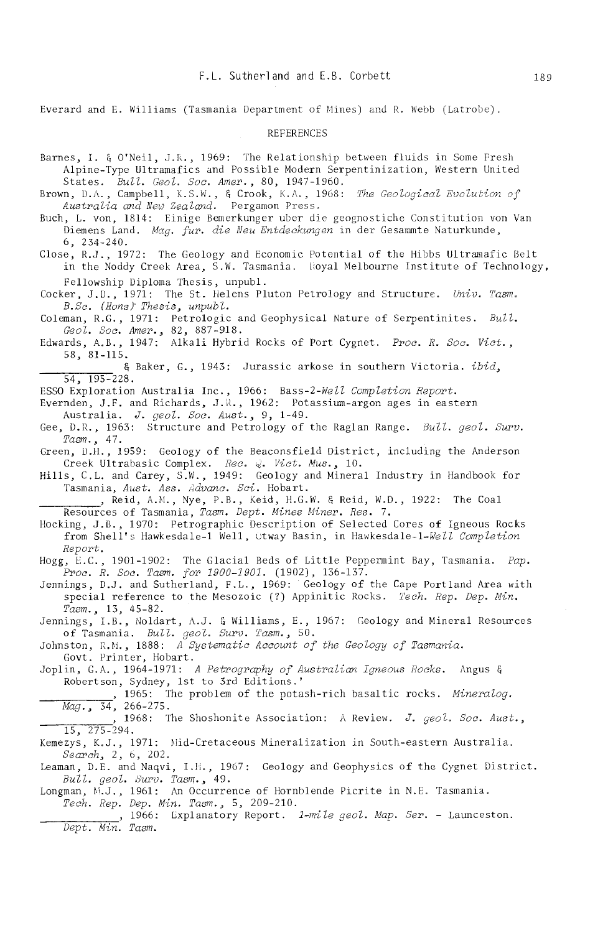Everard and E. Williams (Tasmania Department of Mines) and R. Webb (Latrobe).

#### **REFERENCES**

Barnes, I. & O'Neil, J.R., 1969: The Relationship between fluids in Some Fresh Alpine-Type Ultramafics and Possible Modern Serpentinization, Western United States. Bull. Geol. Soc. Amer., 80, 1947-1960. Brown, D.A., Campbell, K.S.W., & Crook, K.A., 1968: The Geological Evolution of Australia and New Zealand. Pergamon Press. Buch, L. von, 1814: Einige Bemerkunger uber die geognostiche Constitution von Van Diemens Land. Maa. fur. die Neu Entdeckungen in der Gesammte Naturkunde.  $6, 234 - 240.$ Close, R.J., 1972: The Geology and Economic Potential of the Hibbs Ultramafic Belt in the Noddy Creek Area, S.W. Tasmania. Royal Melbourne Institute of Technology, Fellowship Diploma Thesis, unpubl. Cocker, J.D., 1971: The St. Helens Pluton Petrology and Structure. Univ. Tasm. B.Sc. (Hons) Thesis, unpubl. Coleman, R.G., 1971: Petrologic and Geophysical Nature of Serpentinites. Bull.<br>
Geol. Soc. Amer., 82, 887-918.<br>
Edwards, A.B., 1947: Alkali Hybrid Rocks of Port Cygnet. Proc. R. Soc. Vict.,  $58, 81 - 115.$ & Baker, G., 1943: Jurassic arkose in southern Victoria. ibid.  $\overline{54.195-228}$ . ESSO Exploration Australia Inc., 1966: Bass-2-Well Completion Report. Evernden, J.F. and Richards, J.R., 1962: Potassium-argon ages in eastern Australia. J. geol. Soc. Aust., 9, 1-49. Gee, D.R., 1963: Structure and Petrology of the Raglan Range. Bull. geol. Surv.  $Tasm. 47.$ Green, D.H., 1959: Geology of the Beaconsfield District, including the Anderson Creek Ultrabasic Complex. Rec. Q. Vict. Mus., 10. Hills, C.L. and Carey, S.W., 1949: Geology and Mineral Industry in Handbook for Tasmania, Aust, Ass. Advanc. Sci. Hobart. , Reid, A.M., Nye, P.B., Keid, H.G.W. & Reid, W.D., 1922: The Coal Resources of Tasmania, Tasm. Dept. Mines Miner. Res. 7. Hocking, J.B., 1970: Petrographic Description of Selected Cores of Igneous Rocks from Shell's Hawkesdale-1 Well, Otway Basin, in Hawkesdale-1-Well Completion Report. Hogg, E.C., 1901-1902: The Glacial Beds of Little Peppermint Bay, Tasmania. Pap.<br>Proc. R. Soc. Tasm. for 1900-1901. (1902), 136-137. Jennings, D.J. and Sutherland, F.L., 1969: Geology of the Cape Portland Area with special reference to the Mesozoic (?) Appinitic Rocks. Tech. Rep. Dep. Min. Tasm., 13, 45-82. Jennings, I.B., Noldart, A.J. & Williams, E., 1967: Geology and Mineral Resources of Tasmania. Bull. geol. Surv. Tasm., 50. Johnston, R.M., 1888: A Systematic Account of the Geology of Tasmania. Govt. Printer, Hobart. Joplin, G.A., 1964-1971: A Petrography of Australian Igneous Rocks. Angus & Robertson, Sydney, 1st to 3rd Editions.' , 1965: The problem of the potash-rich basaltic rocks. Mineralog.  $\overline{Mag_{\cdot 2}$  34, 266-275. 1968: The Shoshonite Association: A Review. J. geol. Soc. Aust..  $15, 275 - 294.$ Kemezys, K.J., 1971: Mid-Cretaceous Mineralization in South-eastern Australia. Search, 2, 6, 202. Leaman, D.E. and Naqvi, I.H., 1967: Geology and Geophysics of the Cygnet District. Bull. geol. Surv. Tasm., 49. Longman, M.J., 1961: An Occurrence of Hornblende Picrite in N.E. Tasmania. Tech. Rep. Dep. Min. Tasm., 5, 209-210. , 1966: Lxplanatory Report. 1-mile geol. Map. Ser. - Launceston. Dept. Min. Tasm.

189